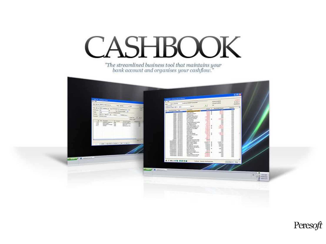

"The streamlined business tool that maintains your<br>bank account and organises your cashflow."

| of Janet (M. 1140 Notes Entry<br><b>SIL SHE</b><br>Denis & Holly HAGON                         |                                          | A Low III 1.0 Dod Annual Barbo<br>$=$<br><b>MA MAIN</b><br><b>Ball</b> | A as it found have been                                      |                                        | ar showard.<br>or purchases.  | $4 - 16 + 18$<br>99,764,57<br>14,561.18 |                                                                                                                                                                                                                                                                                                                                                                |
|------------------------------------------------------------------------------------------------|------------------------------------------|------------------------------------------------------------------------|--------------------------------------------------------------|----------------------------------------|-------------------------------|-----------------------------------------|----------------------------------------------------------------------------------------------------------------------------------------------------------------------------------------------------------------------------------------------------------------------------------------------------------------------------------------------------------------|
| <b>Bay Terray</b><br>complete annual and con-<br>$-16$                                         | <b>No line</b>                           | berting.<br>Assessment of the Af-                                      |                                                              | $\overline{a}$                         | $\equiv$                      | <b>UNIVERSITY</b>                       |                                                                                                                                                                                                                                                                                                                                                                |
| the first lines is seen to the formulation of the first section                                | New<br><b>Track</b>                      |                                                                        | <b>Baseball</b>                                              |                                        | near 1 - Summarizone<br>$-10$ | and the local                           |                                                                                                                                                                                                                                                                                                                                                                |
| $\rightarrow$<br><b>Tel: Honda Parker</b> . All<br>$\sim$<br><b>Total</b><br>A it + Directions |                                          | a ballanes in                                                          | <b><i><u>Property</u></i></b>                                | 44.9                                   | -<br>all of the               | $\frac{1}{2}$                           |                                                                                                                                                                                                                                                                                                                                                                |
| Amery 100 to be to be them.                                                                    |                                          | $\equiv$<br>Linkson, MA<br><b>WARD VARNISHE</b>                        | cal Salvari<br>Saurung transiti<br><b>Business Free</b>      | 221                                    | $-0.01$                       | H                                       |                                                                                                                                                                                                                                                                                                                                                                |
| <b>THERE</b> & W.<br><b>Personal Chica Lines</b>                                               |                                          | poles purchase<br>page measure                                         | Greater Insurance Press                                      | ALC: U<br><b>ATACHER</b>               | H                             |                                         |                                                                                                                                                                                                                                                                                                                                                                |
| <b>President</b>                                                                               | 148<br><b>Secure</b>                     | <b>MARK ANALYS</b><br><b>WIRD HANNING</b>                              | Advised on the<br>at Series country.                         | ł                                      | $-0.054$ cm                   |                                         |                                                                                                                                                                                                                                                                                                                                                                |
| <b>Braud</b><br><b>Accordings</b>                                                              |                                          | <b>EXECUTE</b>                                                         | <b>KIROLIMB</b><br>to customs                                |                                        | 譜                             | Ħ                                       |                                                                                                                                                                                                                                                                                                                                                                |
| <b>HART</b>                                                                                    |                                          | latest standard                                                        | Contemporary and Contrat<br>as despendent and                |                                        | 搵                             |                                         |                                                                                                                                                                                                                                                                                                                                                                |
| ii in<br>Ë<br>医三                                                                               | H                                        | week services<br><b>SASSA SAVIORIS</b>                                 | concertainments                                              | $-0.013$                               | ant an                        |                                         |                                                                                                                                                                                                                                                                                                                                                                |
|                                                                                                |                                          | latest security<br>pages technicity                                    | <b>Oracle Office Database, PA</b><br>Guai Innuncture (II)    | 1000 1                                 | 0.885.93<br>JUMPER.           |                                         |                                                                                                                                                                                                                                                                                                                                                                |
|                                                                                                |                                          | sale) services<br><b>WARD MAYABON</b>                                  | <b><i><u>National</u></i></b> for investment<br>colo e Tallo | Limited                                | 益                             |                                         |                                                                                                                                                                                                                                                                                                                                                                |
|                                                                                                |                                          | ≣Ħ                                                                     | Anahmy<br><b>Standard</b>                                    | 120.00<br>14, 241, 491                 | si de                         |                                         |                                                                                                                                                                                                                                                                                                                                                                |
|                                                                                                |                                          |                                                                        | <b>See air Stake</b><br>Ad a Lestuder DR                     | 4,000.00<br><b>COMPANY</b>             | <b>CUSTOM MAY</b><br>72       |                                         |                                                                                                                                                                                                                                                                                                                                                                |
|                                                                                                |                                          | <b>MARK MANUFER</b><br>seas announc                                    | <b>IF lieser</b><br>mous hompic                              | 22                                     | $+$                           |                                         |                                                                                                                                                                                                                                                                                                                                                                |
|                                                                                                |                                          | <b>MAN GAVANA</b>                                                      | ade shown.<br>Reverse Armount one                            | arm to<br>200.00                       | $+ -$<br>$+$                  |                                         |                                                                                                                                                                                                                                                                                                                                                                |
|                                                                                                | <b>Feb. 91</b>                           |                                                                        | Videosale, changes do 120.                                   | $-0.000$                               | 446<br><b>DISCUSS NO</b>      |                                         |                                                                                                                                                                                                                                                                                                                                                                |
| 14   Den   Sachst (1424   Dr.) Care,                                                           |                                          | Photoshop: SAV-3P4<br><b>Inseased divisio</b>                          | <b>Back runker Female</b><br><b>BALLADES USES</b>            | <b>DEALER R</b><br><b>SERGES &amp;</b> | <b>THE AFTER THE</b>          |                                         |                                                                                                                                                                                                                                                                                                                                                                |
|                                                                                                |                                          | <b>IMENSTORY SASSAN</b><br><b>PERMIT SHOPS</b>                         | THE SALES<br><b>Bookstand Tell Hills</b>                     | \$3,8.90 \$<br>4,000 \$                | <b>WASHING</b><br>6,535.00    |                                         |                                                                                                                                                                                                                                                                                                                                                                |
|                                                                                                |                                          | PRIVATE CORPO                                                          | Ask traveler true that for<br><b>Lost releases</b>           | L.PA-W<br>120.00 . 8                   | 144<br>3.64 m                 |                                         |                                                                                                                                                                                                                                                                                                                                                                |
|                                                                                                |                                          | <b><i><u>STAGEROOM IS SERVICE</u></i></b>                              | <b>INSTRUCTS</b><br><b>FOR AT LINE LEWARE</b>                | 19798<br>All of                        | 408                           |                                         |                                                                                                                                                                                                                                                                                                                                                                |
|                                                                                                |                                          | <b>KASSING ANGEL</b><br><b>NAVIGARE ANGELE</b>                         | Merkenholmship to b.                                         | Lamm &                                 | 100<br><b>batele</b>          |                                         |                                                                                                                                                                                                                                                                                                                                                                |
|                                                                                                |                                          | <b>RESIDENCE Analysis</b>                                              | <b>Dell' vitato:</b><br>Transfer Parts in common             | 12, 24, 25<br><b>STATISTICS</b>        | $+$<br>148                    |                                         |                                                                                                                                                                                                                                                                                                                                                                |
|                                                                                                |                                          | Patenties, Analog                                                      | Trender brings grounds.                                      | Alabam and                             | $\frac{1}{2}$                 | 6m                                      |                                                                                                                                                                                                                                                                                                                                                                |
| <b>STRAIGHT COMMAND</b>                                                                        |                                          | <b>ATALUM BORN</b>                                                     |                                                              |                                        |                               |                                         |                                                                                                                                                                                                                                                                                                                                                                |
|                                                                                                |                                          |                                                                        |                                                              | Tellers Salaria Kalifachase            |                               | (low has)<br><b>Thus</b>                |                                                                                                                                                                                                                                                                                                                                                                |
|                                                                                                |                                          |                                                                        |                                                              |                                        |                               |                                         |                                                                                                                                                                                                                                                                                                                                                                |
|                                                                                                | <b>STATISTICS</b> Interactions  Presence |                                                                        |                                                              |                                        |                               |                                         |                                                                                                                                                                                                                                                                                                                                                                |
|                                                                                                |                                          |                                                                        |                                                              |                                        |                               |                                         | <b>POINT &amp;</b>                                                                                                                                                                                                                                                                                                                                             |
|                                                                                                |                                          |                                                                        |                                                              |                                        |                               |                                         | $^{\circ}$ $^{\circ}$ $^{\circ}$ $^{\circ}$ $^{\circ}$ $^{\circ}$ $^{\circ}$ $^{\circ}$ $^{\circ}$ $^{\circ}$ $^{\circ}$ $^{\circ}$ $^{\circ}$ $^{\circ}$ $^{\circ}$ $^{\circ}$ $^{\circ}$ $^{\circ}$ $^{\circ}$ $^{\circ}$ $^{\circ}$ $^{\circ}$ $^{\circ}$ $^{\circ}$ $^{\circ}$ $^{\circ}$ $^{\circ}$ $^{\circ}$ $^{\circ}$ $^{\circ}$ $^{\circ}$ $^{\circ$ |
|                                                                                                |                                          |                                                                        |                                                              |                                        |                               |                                         |                                                                                                                                                                                                                                                                                                                                                                |
|                                                                                                |                                          |                                                                        |                                                              |                                        |                               |                                         |                                                                                                                                                                                                                                                                                                                                                                |
|                                                                                                |                                          |                                                                        |                                                              |                                        |                               |                                         |                                                                                                                                                                                                                                                                                                                                                                |

Peresoft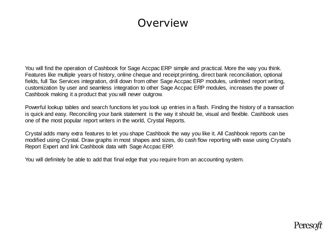## Overview

You will find the operation of Cashbook for Sage Accpac ERP simple and practical. More the way you think. Features like multiple years of history, online cheque and receipt printing, direct bank reconciliation, optional fields, full Tax Services integration, drill down from other Sage Accpac ERP modules, unlimited report writing, customization by user and seamless integration to other Sage Accpac ERP modules, increases the power of Cashbook making it a product that you will never outgrow.

Powerful lookup tables and search functions let you look up entries in a flash. Finding the history of a transaction is quick and easy. Reconciling your bank statement is the way it should be, visual and flexible. Cashbook uses one of the most popular report writers in the world, Crystal Reports.

Crystal adds many extra features to let you shape Cashbook the way you like it. All Cashbook reports can be modified using Crystal. Draw graphs in most shapes and sizes, do cash flow reporting with ease using Crystal's Report Expert and link Cashbook data with Sage Accpac ERP.

You will definitely be able to add that final edge that you require from an accounting system.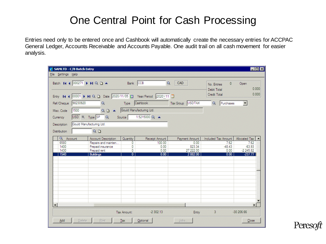### One Central Point for Cash Processing

Entries need only to be entered once and Cashbook will automatically create the necessary entries for ACCPAC General Ledger, Accounts Receivable and Accounts Payable. One audit trail on all cash movement for easier analysis.

| SAMLTD - C/B Batch Entry |                                                                  |               |                |                  |                                            | $\Box$ olxi           |
|--------------------------|------------------------------------------------------------------|---------------|----------------|------------------|--------------------------------------------|-----------------------|
| File Settings Help       |                                                                  |               |                |                  |                                            |                       |
|                          | Batch 14 4 000271 1 14 Q D 4 Bank CCB                            |               | $\alpha$       | CAD              | $\mathbf{0}$<br>No. Entries<br>Debit Total | Open<br>0.000         |
|                          | Entry 14 4 00001   M Q L Date 2020/11/05   Year/Period 2020-11 0 |               |                |                  | Credit Total                               | 0.000                 |
| Ref/Cheque 98230920      | $\alpha$                                                         | Type Cashbook |                | Tax Group USDTAX | $\alpha$<br>Purchases                      |                       |
| 1500<br>Misc. Code       | Q B < Gould Manufacturing Ltd.                                   |               |                |                  |                                            |                       |
| Currency                 | USD & Type SP Q<br>Source                                        |               | 1.5215000 Q    |                  |                                            |                       |
| Description              | Gould Manufacturing Ltd.                                         |               |                |                  |                                            |                       |
| <b>Distribution</b>      | $Q_1$                                                            |               |                |                  |                                            |                       |
| Q Account                | Account Description                                              | Quantity      | Receipt Amount | Payment Amount   | Included Tax Amount                        | Allocated Tax         |
| 6580<br>1400             | Repairs and mainten<br>Prepaid insurance                         | 0<br>0        | 100.00<br>0.00 | 0.00<br>823.34   | 7.62<br>$-48.43$                           | 7.62<br>$-63.93$      |
| 1430                     | Prepaid rent                                                     | 0             | 0.00           | 27 222.00        | 0.00                                       | $-2245.82$            |
| 1540                     | <b>Buildings</b>                                                 | Ő             | 0.00           | 2882.00          | 0.00                                       | $-237.77$             |
|                          |                                                                  |               |                |                  |                                            |                       |
|                          |                                                                  |               |                |                  |                                            |                       |
|                          |                                                                  |               |                |                  |                                            |                       |
|                          |                                                                  |               |                |                  |                                            |                       |
|                          |                                                                  |               |                |                  |                                            |                       |
|                          |                                                                  |               |                |                  |                                            |                       |
|                          |                                                                  |               |                |                  |                                            |                       |
|                          |                                                                  |               |                |                  |                                            |                       |
| $\blacktriangleleft$     |                                                                  |               |                |                  |                                            | $\blacktriangleright$ |
|                          |                                                                  |               |                |                  |                                            |                       |
|                          |                                                                  | Tax Amount:   | $-2302.13$     | Entry            | 3 <sup>°</sup>                             | $-30206.66$           |
| Add                      | Print<br>Delete                                                  | Tax           | Optional       | Jobs             |                                            | Close                 |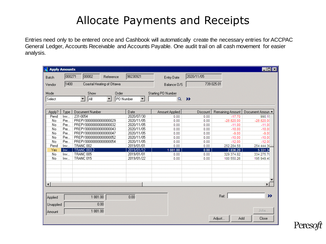# Allocate Payments and Receipts

Entries need only to be entered once and Cashbook will automatically create the necessary entries for ACCPAC General Ledger, Accounts Receivable and Accounts Payable. One audit trail on all cash movement for easier analysis.

| <b>Apply Amounts</b>   |        |                                         |                                       |                           |               |                         | $\blacksquare$ $\blacksquare$ $\times$ |
|------------------------|--------|-----------------------------------------|---------------------------------------|---------------------------|---------------|-------------------------|----------------------------------------|
| Batch                  | 000271 | 00002<br>Reference                      | 98230921                              | <b>Entry Date</b>         | 2020/11/05    |                         |                                        |
| Vendor                 | 1400   | Coastal Heating of Ottawa               |                                       | Balance O/S               |               | 739 025.01              |                                        |
| Mode                   |        | Show<br>Order                           |                                       | <b>Starting PO Number</b> |               |                         |                                        |
| Select                 |        | $\vert$<br>∥All<br>$\blacktriangledown$ | PO Number<br>$\overline{\phantom{a}}$ | $\alpha$                  | $\rightarrow$ |                         |                                        |
|                        |        |                                         |                                       |                           |               |                         |                                        |
| Apply?                 | Type   | Document Number                         | Date                                  | <b>Amount Applied</b>     | Discount      | <b>Remaining Amount</b> | Document Amoun                         |
| Pend                   | Inv    | 231-0054                                | 2020/07/30                            | 0.00                      | 0.00          | $-17.70$                | 990.15                                 |
| No.                    | Pre    | PREPY00000000000000029                  | 2020/11/05                            | 0.00                      | 0.00          | $-28820.00$             | $-28820.00$                            |
| No                     | Pre    | PREPY00000000000000032                  | 2020/11/05                            | 0.00                      | 0.00          | $-11.00$                | $-11.00$                               |
| N <sub>o</sub>         | Pre    | PREPY00000000000000043                  | 2020/11/05                            | 0.00                      | 0.00          | $-18.00$                | $-18.00$                               |
| No                     | Pre    | PREPY000000000000000047                 | 2020/11/05                            | 0.00                      | 0.00          | $-9.00$                 | $-9.00$                                |
| No                     | Pre    | PREPY00000000000000052                  | 2020/11/05                            | 0.00                      | 0.00          | $-10.00$                | $-10.00$                               |
| <b>No</b>              | Pre    | PREPY00000000000000054                  | 2020/11/05                            | 0.00                      | 0.00          | $-12.00$                | $-12.00$                               |
| Pend                   | Inv    | TRANC 002                               | 2019/01/01                            | 0.00                      | 0.00          | 252 284.58              | 254 444.36                             |
| Yes                    | Inv    | <b>TRANC 003.2</b>                      | 2019/01/12                            | 1881.00                   | 0.00          | 2 836.20                | 5 3 3 1 . 3                            |
| No                     | Inv    | TRANC 005                               | 2019/01/01                            | 0.00                      | 0.00          | 329 374.82              | 334 275.70                             |
| N <sub>o</sub>         | Inv    | TRANC 015                               | 2019/01/22                            | 0.00                      | 0.00          | 180 550.26              | 195 949.40                             |
|                        |        |                                         |                                       |                           |               |                         |                                        |
|                        |        |                                         |                                       |                           |               |                         |                                        |
|                        |        |                                         |                                       |                           |               |                         |                                        |
| $\left  \cdot \right $ |        |                                         |                                       |                           |               |                         | И                                      |
|                        |        |                                         |                                       |                           |               |                         |                                        |
| Applied                |        | 1881.00                                 | 0.00                                  |                           |               | Ref:                    | >>                                     |
| Unapplied              |        | 0.00                                    |                                       |                           |               |                         |                                        |
| Amount                 |        | 1881.00                                 |                                       |                           |               |                         | Jobs                                   |
|                        |        |                                         |                                       |                           |               | Adjust<br>Add           | Close                                  |

Pere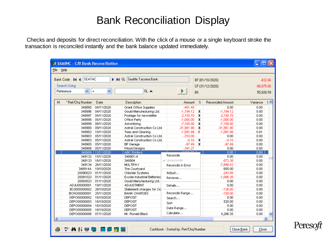#### Bank Reconciliation Display

Checks and deposits for direct reconciliation. With the click of a mouse or a single keyboard stroke the transaction is reconciled instantly and the bank balance updated immediately.

| <b>EX SAMINC - C/B Bank Reconciliation</b> |                          |                                    |                                      |           |                   |                     |  |
|--------------------------------------------|--------------------------|------------------------------------|--------------------------------------|-----------|-------------------|---------------------|--|
| File Help                                  |                          |                                    |                                      |           |                   |                     |  |
| Bank Code 14 4 SEATAC                      | $\mathbf{H} \mathbf{Q}$  | Seattle Tacoma Bank                |                                      |           | BF (01/10/2020)   | $-432.66$           |  |
| Search Using                               |                          |                                    |                                      |           | CF (31/12/2020)   | $-88.875.86$        |  |
| Reference<br>v                             | $\checkmark$<br>$\equiv$ | $Q =$                              | Þ.                                   | <b>BK</b> |                   | 55.826.59           |  |
|                                            |                          |                                    |                                      |           |                   |                     |  |
| M.<br>* Ref/Chg Number                     | Date                     | Description                        | Amount                               | S         | Reconciled Amount | (<br>Variance       |  |
| 348895                                     | 04/11/2020               | Grant Office Supplies              | $-401.40$                            |           | 0.00              | 0.00                |  |
| 348896                                     | 04/11/2020               | Gould Manufacturing Ltd.           | $-1,194.12$                          | x         | $-1,194.12$       | 0.00                |  |
| 348897                                     | 04/11/2020               | Postage for newsletter             | $-2,150.70$                          | x         | $-2,150.70$       | 0.00                |  |
| 348898                                     | 05/11/2020               | Office Party                       | $-1,000.00$                          | x         | $-1,000.00$       | 0.00                |  |
| 348899                                     | 08/11/2020               | Advertising                        | $-7,100.00$                          | x         | $-7,100.00$       | 0.00                |  |
| 348900                                     | 09/11/2020               | Astral Construction Co Ltd.        | $-31,561.90$                         | x         | -31,561.90        | 0.00                |  |
| 348902                                     | 10/11/2020               | Teas and Cleaning                  | $-1,091.99$                          | E         | $-1,091.98$       | 0.01                |  |
| 348903                                     | 05/11/2020               | Astral Construction Co Ltd.        | $-310.00$                            |           | 0.00              | 0.00                |  |
| 348903                                     | 05/11/2020               | Astral Construction Co Ltd.        | $-0.10$                              | x         | $-0.10$           | 0.00                |  |
| 348905                                     | 05/11/2020               | <b>BP</b> Garage                   | $-97.49$                             | x         | $-97.49$          | 0.00                |  |
| 348908                                     | 05/11/2020               | Wood Designs                       | $-341.27$                            |           | 0.00              | 0.00                |  |
| 348909                                     | 12/11/2020               | <b>ABC Printers</b>                | S OCALEZ<br>Reconcile                |           | 0.00              | 0.00                |  |
| 349132                                     | 15/11/2020               | 348901-4                           |                                      |           | 0.00              | 0.00                |  |
| 349133                                     | 16/11/2020               | 348904                             | $\vee$ Unreconcile                   |           | $-572.38$         | 0.00                |  |
| 349134                                     | 26/11/2020               | MULTIPAY                           | Reconcile in Error                   |           | $-7,688.52$       | 0.00                |  |
| 348914A                                    | 19/10/2020               | The Courtyard                      |                                      |           | 655.00            | 0.00                |  |
| 20090023                                   | 01/11/2020               | Chloride Systems                   | Adjust                               |           | $-243.56$         | 0.00                |  |
| 20091023                                   | 01/11/2020               | <b>Excide Industrial Batteries</b> | Reverse                              |           | $-1,066.26$       | 0.00                |  |
| 20093023                                   | 01/11/2020               | Gould Manufacturing Ltd.           |                                      |           | 0.00              | 0.00                |  |
| ADJU00000001                               | 19/11/2020               | <b>ADJUSTMENT</b>                  | Details                              |           | 0.00              | 0.00                |  |
| BC0000000002                               | 26/10/2020               | Statement charges for Oc           |                                      |           | $-136.00$         | 0.00                |  |
| BCHG00000001                               | 25/11/2020               | <b>BANK CHARGES</b>                | Reconcile Range                      |           | $-158.00$         | 0.00                |  |
| DEPO00000002                               | 16/10/2020               | <b>DEPOSIT</b>                     | Search                               |           | 0.00              | 0.00                |  |
| DEPO00000003                               | 16/10/2020               | <b>DEPOSIT</b>                     | Sort                                 |           | 520.00            | 0.00                |  |
| DEPO00000004                               | 16/10/2020               | <b>DEPOSIT</b>                     | Date Range                           |           | 0.00              | 0.00                |  |
| DEPO00000005                               | 16/10/2020               | <b>DEPOSIT</b>                     | Calculate                            |           | 0.00              | 0.00                |  |
| DEPO00000006                               | 07/11/2020               | Mr. Ronald Black                   |                                      |           | 4,286.35          | 0.00                |  |
| K.                                         |                          | TIII                               |                                      |           |                   | ≻                   |  |
| ♡ A 3↓ 学 转 国 国 图 图 届<br>鱼                  |                          |                                    | Cashbook - Sorted by: Ref/Chg Number |           |                   | Close Bank<br>Close |  |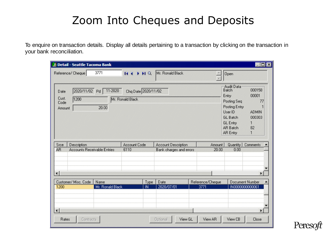# Zoom Into Cheques and Deposits

To enquire on transaction details. Display all details pertaining to a transaction by clicking on the transaction in your bank reconciliation.

|                                 | Detail - Seattle Tacoma Bank                      |                          |                                         |            |                                                       |                          |                                                                                                                                       | $ \Box$ $\times$                                                                      |
|---------------------------------|---------------------------------------------------|--------------------------|-----------------------------------------|------------|-------------------------------------------------------|--------------------------|---------------------------------------------------------------------------------------------------------------------------------------|---------------------------------------------------------------------------------------|
| Reference/ Cheque               |                                                   | 3771                     | $H \leftarrow H Q$                      |            | Mr. Ronald Black                                      |                          | Open                                                                                                                                  |                                                                                       |
| Date<br>Cust.<br>Code<br>Amount | 2020/11/02<br>1200                                | 11-2020<br>Pd<br>20.00   | Chq Date 2020/11/02<br>Mr. Ronald Black |            |                                                       |                          | Audit Data<br>Batch<br>Entry<br>Posting Seq<br>Posting Entry<br>User ID<br><b>GL Batch</b><br><b>GL</b> Entry<br>AR Batch<br>AR Entry | 000158<br>00001<br>77<br><b>ADMIN</b><br>000303<br>$\mathbf{1}$<br>82<br>$\mathbf{1}$ |
| Srce<br>A <sub>R</sub>          | Description<br><b>Accounts Receivable Entries</b> |                          | <b>Account Code</b><br>6110             |            | <b>Account Description</b><br>Bank charges and errors | Amount<br>20.00          | Quantity<br>0.00                                                                                                                      | Comments                                                                              |
| $\lvert$                        |                                                   |                          |                                         |            |                                                       |                          |                                                                                                                                       |                                                                                       |
| 1200                            | Customer/ Misc. Code                              | Name<br>Mr. Ronald Black |                                         | Type<br>IN | Date<br>2020/07/01                                    | Reference/Cheque<br>3771 |                                                                                                                                       | Document Number<br>IN0000000000061                                                    |
| <b>Rates</b>                    | Contracts                                         |                          |                                         |            | View GL<br>Optional                                   | View AR                  | View CB                                                                                                                               | b<br>Close                                                                            |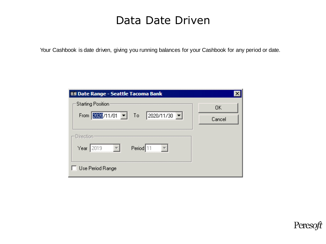### Data Date Driven

Your Cashbook is date driven, giving you running balances for your Cashbook for any period or date.

| Starting Position:<br>From 2020/11/01   To 2020/11/30                               | OΚ<br>Cancel |
|-------------------------------------------------------------------------------------|--------------|
| Direction-<br>Period 11<br>$\overline{\mathbb{F}}$<br>Year 2019<br>Use Period Range |              |

oft Pereso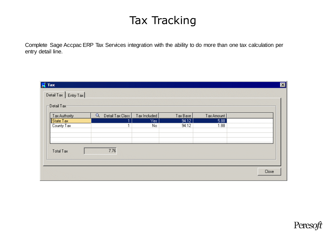## Tax Tracking

Complete Sage Accpac ERP Tax Services integration with the ability to do more than one tax calculation per entry detail line.

| Tax Authority    | $\alpha$<br>Detail Tax Class | Tax Included | Tax Base | Tax Amount |  |
|------------------|------------------------------|--------------|----------|------------|--|
| State Tax        |                              | Yes:         | 94.12    | 5.88       |  |
| County Tax       | ٠                            | No           | 94.12    | 1.88       |  |
| <b>Total Tax</b> | 7.76                         |              |          |            |  |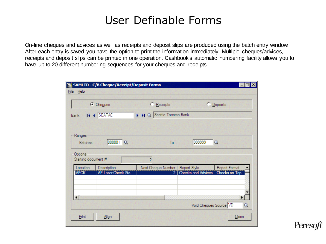## User Definable Forms

On-line cheques and advices as well as receipts and deposit slips are produced using the batch entry window. After each entry is saved you have the option to print the information immediately. Multiple cheques/advices, receipts and deposit slips can be printed in one operation. Cashbook's automatic numbering facility allows you to have up to 20 different numbering sequences for your cheques and receipts.

|                                | SAMLTD - C/B Cheque/Receipt/Deposit Forms |                                 |                                    |                                    |
|--------------------------------|-------------------------------------------|---------------------------------|------------------------------------|------------------------------------|
| File Help                      |                                           |                                 |                                    |                                    |
|                                | C Cheques                                 | C Receipts                      |                                    | C Deposits                         |
| <b>Bank</b>                    | <b>14 4 SEATAC</b>                        | I II Q Seattle Tacoma Bank      |                                    |                                    |
|                                |                                           |                                 |                                    |                                    |
| Ranges                         |                                           |                                 |                                    |                                    |
| <b>Batches</b>                 | 000001 Q                                  | To                              | 999999                             | $\alpha$                           |
|                                |                                           |                                 |                                    |                                    |
| Options<br>Starting document # |                                           | $\overline{2}$                  |                                    |                                    |
| Location                       | Description                               | Next Cheque Number Report Style |                                    | Report Format                      |
| APCK                           | AP Laser Check Sto                        | آ 2                             | Checks and Advices   Checks on Top |                                    |
|                                |                                           |                                 |                                    |                                    |
|                                |                                           |                                 |                                    |                                    |
| $\lvert$                       |                                           |                                 |                                    | F                                  |
|                                |                                           |                                 |                                    | Void Cheques Source VD<br>$\alpha$ |
| Print                          | Align                                     |                                 |                                    | Close                              |
|                                |                                           |                                 |                                    |                                    |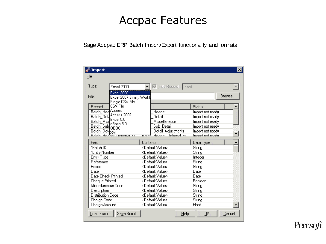## Accpac Features

Sage Accpac ERP Batch Import/Export functionality and formats

| Import                                                                                                                                                                               |                                                                                                         | $\pmb{\times}$                                                                                                                         |
|--------------------------------------------------------------------------------------------------------------------------------------------------------------------------------------|---------------------------------------------------------------------------------------------------------|----------------------------------------------------------------------------------------------------------------------------------------|
| File                                                                                                                                                                                 |                                                                                                         |                                                                                                                                        |
| Type:<br><b>Excel 2000</b>                                                                                                                                                           | <b>V</b> Title Record Insert                                                                            |                                                                                                                                        |
| <b>Excel 2000</b><br>File:<br>Excel 2007 Binary Workb<br>Single CSV File                                                                                                             |                                                                                                         | Browse:                                                                                                                                |
| CSV File<br>Record<br>Access<br>Batch Hea<br>Access 2007<br><b>Batch Deta</b><br>Excel 5.0<br>Batch Misd<br>dBase 5.0<br>Batch_Sub ODBC<br>Batch_Det4XML<br>Batch Heaner<br>TIDRODAI | Header<br>Detail<br>Miscellaneous<br>Sub Detail<br>Detail_Adjustments<br>Header Optional Fill<br>Baron. | <b>Status</b><br>Import not ready<br>Import not ready<br>Import not ready<br>Import not ready<br>Import not ready<br>Import not readu- |
| Field                                                                                                                                                                                | Contents                                                                                                | Data Type                                                                                                                              |
| "Batch ID                                                                                                                                                                            | <default value=""></default>                                                                            | String                                                                                                                                 |
| "Entry Number                                                                                                                                                                        | <default value=""></default>                                                                            | String                                                                                                                                 |
| Entry Type                                                                                                                                                                           | <default value=""></default>                                                                            | Integer                                                                                                                                |
| Reference                                                                                                                                                                            | <default value=""></default>                                                                            | String                                                                                                                                 |
| Period                                                                                                                                                                               | <default value=""></default>                                                                            | String                                                                                                                                 |
| Date                                                                                                                                                                                 | <default value=""></default>                                                                            | Date                                                                                                                                   |
| Date Check Printed                                                                                                                                                                   | <default value=""></default>                                                                            | Date                                                                                                                                   |
| <b>Cheque Printed</b>                                                                                                                                                                | <default value=""></default>                                                                            | <b>Boolean</b>                                                                                                                         |
| Miscellaneous Code                                                                                                                                                                   | <default value=""></default>                                                                            | String                                                                                                                                 |
| Description                                                                                                                                                                          | <default value=""></default>                                                                            | String                                                                                                                                 |
| <b>Distribution Code</b>                                                                                                                                                             | <default value=""></default>                                                                            | String                                                                                                                                 |
| Charge Code                                                                                                                                                                          | <default value=""></default>                                                                            | String                                                                                                                                 |
|                                                                                                                                                                                      | <default value=""></default>                                                                            |                                                                                                                                        |
| Charge Amount<br>Load Script<br>Save Script                                                                                                                                          | Help                                                                                                    | Float<br><u>Ο</u> Κ<br>Cancel                                                                                                          |

Peres лt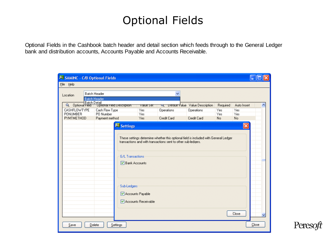# Optional Fields

Optional Fields in the Cashbook batch header and detail section which feeds through to the General Ledger bank and distribution accounts, Accounts Payable and Accounts Receivable.

| SAMINC - C/B Optional Fields |                                                                                                                                                       |                     |             |                                        |          |                |       |
|------------------------------|-------------------------------------------------------------------------------------------------------------------------------------------------------|---------------------|-------------|----------------------------------------|----------|----------------|-------|
| File Help                    |                                                                                                                                                       |                     |             |                                        |          |                |       |
| Location                     | <b>Batch Header</b><br><b>Batch Header</b>                                                                                                            |                     | ₩           |                                        |          |                |       |
| Batch Detail<br>$\alpha$     | Uptional Field Description                                                                                                                            | value set           | u           | <b>Derault Value</b> Value Description | Required | Auto Insert    |       |
| CASHFLOWTYPE                 | Cash Flow Type                                                                                                                                        | Yes                 | Operations  | Operations                             | Yes      | Yes            |       |
| <b>PONUMBER</b>              | PO Number                                                                                                                                             | Yes                 |             |                                        | Yes      | Yes            |       |
| <b>PYMTMETHOD</b>            | Payment method                                                                                                                                        | Yes                 | Credit Card | Credit Card                            | No       | N <sub>o</sub> |       |
|                              |                                                                                                                                                       | <b>22</b> Settings  |             |                                        |          | $\times$       |       |
|                              | These settings determine whether this optional field is included with General Ledger<br>transactions and with transactions sent to other sub-ledgers. |                     |             |                                        |          |                |       |
|                              |                                                                                                                                                       | G/L Transactions    |             |                                        |          |                |       |
|                              |                                                                                                                                                       | └ Bank Accounts     |             |                                        |          |                |       |
|                              |                                                                                                                                                       | Sub-Ledgers         |             |                                        |          |                |       |
|                              |                                                                                                                                                       | Accounts Payable    |             |                                        |          |                |       |
|                              |                                                                                                                                                       | Accounts Receivable |             |                                        |          |                |       |
|                              |                                                                                                                                                       |                     |             |                                        |          | Close          |       |
| Save                         | Settings<br>Delete                                                                                                                                    |                     |             |                                        |          |                | Close |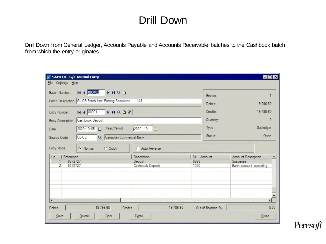#### Drill Down

Drill Down from General Ledger, Accounts Payable and Accounts Receivable batches to the Cashbook batch from which the entry originates.

| SAMLTD - G/L Journal Entry                            |                                     |                   | EOX                                     |  |  |  |
|-------------------------------------------------------|-------------------------------------|-------------------|-----------------------------------------|--|--|--|
| File Settings Help                                    |                                     |                   |                                         |  |  |  |
| 14 4 000402<br>INQD<br><b>Batch Number</b>            |                                     | Entries:          |                                         |  |  |  |
| Batch Description GL-CB Batch Until Posting Sequence: | 149                                 | Debits:           | 19 796.60                               |  |  |  |
| 14 4 00001<br><b>NADF</b><br><b>Entry Number</b>      | Credits:                            | 19 796.60         |                                         |  |  |  |
| Cashbook Deposit<br><b>Entry Description</b>          |                                     | Quantity:         | 0                                       |  |  |  |
| Year/Period<br>2020/10/05<br>Date                     | $2020 - 10$ ] $\Box$                | Type:             | Subledger                               |  |  |  |
| CB-CB<br>Source Code<br>$\alpha$                      | Status:<br>Canadian Commercial Bank |                   |                                         |  |  |  |
| <b>Entry Mode</b><br>C Quick<br>C Normal              | Auto Reverse                        |                   |                                         |  |  |  |
| Reference<br>Lin                                      | Description                         | Q Account         | Account Description<br>$\blacktriangle$ |  |  |  |
| 8372727                                               | Deposit                             | 9999              | Suspense                                |  |  |  |
| 2<br>8372727                                          | Cashbook Deposit                    | 1020              | Bank account, operating                 |  |  |  |
|                                                       |                                     |                   |                                         |  |  |  |
|                                                       |                                     |                   |                                         |  |  |  |
|                                                       |                                     |                   |                                         |  |  |  |
|                                                       |                                     |                   |                                         |  |  |  |
|                                                       |                                     |                   |                                         |  |  |  |
| $\lvert \cdot \rvert$                                 |                                     |                   | $\mathbf{E}$                            |  |  |  |
|                                                       |                                     |                   |                                         |  |  |  |
| 19 796.60<br>Debits<br>Credits                        | 19 796.60                           | Out of Balance By | 0.00                                    |  |  |  |
| Save<br>Delete<br>Clear                               | Detail                              |                   | Close                                   |  |  |  |

Peres лt